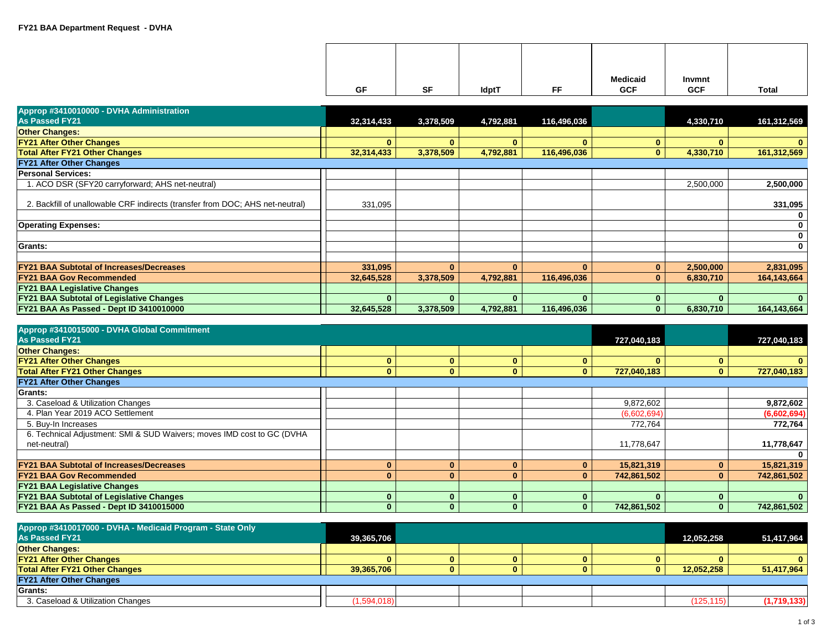| GF | SF | <b>IdptT</b> | FF | <b>Medicaid</b><br><b>GCF</b> | Invmnt<br><b>GCF</b> | <b>Total</b> |
|----|----|--------------|----|-------------------------------|----------------------|--------------|
|    |    |              |    |                               |                      |              |

| Approp #3410010000 - DVHA Administration                                      |              |              |              |              |              |              |              |
|-------------------------------------------------------------------------------|--------------|--------------|--------------|--------------|--------------|--------------|--------------|
| <b>As Passed FY21</b>                                                         | 32,314,433   | 3,378,509    | 4,792,881    | 116,496,036  |              | 4,330,710    | 161,312,569  |
| <b>Other Changes:</b>                                                         |              |              |              |              |              |              |              |
| <b>FY21 After Other Changes</b>                                               | $\mathbf{0}$ | $\mathbf{0}$ | $\mathbf{0}$ |              | $\bf{0}$     | $\mathbf{0}$ | $\mathbf{0}$ |
| <b>Total After FY21 Other Changes</b>                                         | 32,314,433   | 3,378,509    | 4,792,881    | 116,496,036  | $\mathbf{0}$ | 4,330,710    | 161,312,569  |
| <b>FY21 After Other Changes</b>                                               |              |              |              |              |              |              |              |
| <b>Personal Services:</b>                                                     |              |              |              |              |              |              |              |
| 1. ACO DSR (SFY20 carryforward; AHS net-neutral)                              |              |              |              |              |              | 2,500,000    | 2,500,000    |
| 2. Backfill of unallowable CRF indirects (transfer from DOC; AHS net-neutral) | 331,095      |              |              |              |              |              | 331,095      |
|                                                                               |              |              |              |              |              |              | $\mathbf 0$  |
| <b>Operating Expenses:</b>                                                    |              |              |              |              |              |              | $\mathbf 0$  |
|                                                                               |              |              |              |              |              |              | $\mathbf 0$  |
| Grants:                                                                       |              |              |              |              |              |              | $\mathbf 0$  |
|                                                                               |              |              |              |              |              |              |              |
| <b>FY21 BAA Subtotal of Increases/Decreases</b>                               | 331,095      | $\Omega$     | $\mathbf{0}$ | $\mathbf{0}$ | $\mathbf{0}$ | 2,500,000    | 2,831,095    |
| <b>FY21 BAA Gov Recommended</b>                                               | 32,645,528   | 3,378,509    | 4,792,881    | 116,496,036  | $\mathbf{0}$ | 6,830,710    | 164,143,664  |
| <b>FY21 BAA Legislative Changes</b>                                           |              |              |              |              |              |              |              |
| <b>FY21 BAA Subtotal of Legislative Changes</b>                               | $\mathbf{0}$ | $\Omega$     |              |              | $\mathbf{0}$ | $\mathbf{0}$ |              |
| FY21 BAA As Passed - Dept ID 3410010000                                       | 32,645,528   | 3,378,509    | 4,792,881    | 116,496,036  | $\mathbf{0}$ | 6,830,710    | 164,143,664  |

| Approp #3410015000 - DVHA Global Commitment                            |  |  |              |              |             |   |              |
|------------------------------------------------------------------------|--|--|--------------|--------------|-------------|---|--------------|
| As Passed FY21                                                         |  |  |              |              | 727,040,183 |   | 727,040,183  |
| <b>Other Changes:</b>                                                  |  |  |              |              |             |   |              |
| <b>FY21 After Other Changes</b>                                        |  |  | $\mathbf{0}$ | 0            |             | 0 | $\mathbf{0}$ |
| <b>Total After FY21 Other Changes</b>                                  |  |  | $\mathbf{0}$ | $\mathbf{0}$ | 727.040.183 |   | 727,040,183  |
| <b>FY21 After Other Changes</b>                                        |  |  |              |              |             |   |              |
| <b>Grants:</b>                                                         |  |  |              |              |             |   |              |
| 3. Caseload & Utilization Changes                                      |  |  |              |              | 9,872,602   |   | 9,872,602    |
| 4. Plan Year 2019 ACO Settlement                                       |  |  |              |              | (6,602,694) |   | (6,602,694)  |
| 5. Buy-In Increases                                                    |  |  |              |              | 772,764     |   | 772,764      |
| 6. Technical Adjustment: SMI & SUD Waivers; moves IMD cost to GC (DVHA |  |  |              |              |             |   |              |
| net-neutral)                                                           |  |  |              |              | 11,778,647  |   | 11,778,647   |
|                                                                        |  |  |              |              |             |   | $\mathbf 0$  |
| <b>FY21 BAA Subtotal of Increases/Decreases</b>                        |  |  | $\mathbf{0}$ | 0            | 15,821,319  |   | 15,821,319   |
| <b>FY21 BAA Gov Recommended</b>                                        |  |  | $\mathbf{0}$ | $\mathbf{0}$ | 742,861,502 |   | 742,861,502  |
| <b>FY21 BAA Legislative Changes</b>                                    |  |  |              |              |             |   |              |
| <b>FY21 BAA Subtotal of Legislative Changes</b>                        |  |  | $\mathbf{0}$ | 0            |             |   | $\bf{0}$     |
| FY21 BAA As Passed - Dept ID 3410015000                                |  |  | $\Omega$     | 0            | 742,861,502 |   | 742,861,502  |

| Approp #3410017000 - DVHA - Medicaid Program - State Only<br><b>As Passed FY21</b> | 39,365,706  |  |  | 12,052,258 | 51,417,964   |
|------------------------------------------------------------------------------------|-------------|--|--|------------|--------------|
| <b>Other Changes:</b>                                                              |             |  |  |            |              |
| <b>FY21 After Other Changes</b>                                                    |             |  |  |            | $\mathbf{0}$ |
| <b>Total After FY21 Other Changes</b>                                              | 39.365.706  |  |  | 12.052.258 | 51,417,964   |
| <b>FY21 After Other Changes</b>                                                    |             |  |  |            |              |
| Grants:                                                                            |             |  |  |            |              |
| 3. Caseload & Utilization Changes                                                  | (1,594,018) |  |  | (125, 115) | (1,719,133)  |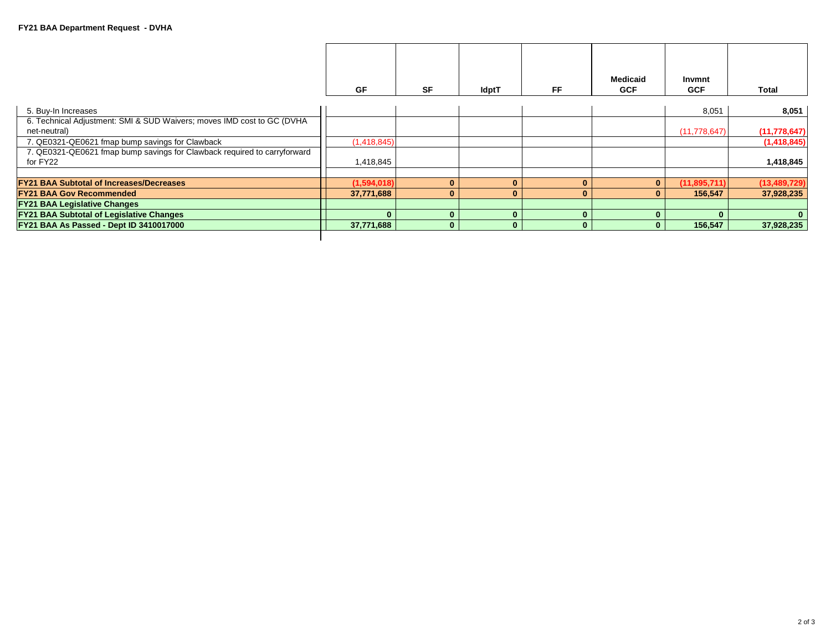|                                                                          |              |              |              |          | <b>Medicaid</b> | Invmnt         |                |
|--------------------------------------------------------------------------|--------------|--------------|--------------|----------|-----------------|----------------|----------------|
|                                                                          |              |              |              |          |                 |                |                |
|                                                                          | <b>GF</b>    | <b>SF</b>    | <b>IdptT</b> | FF.      | <b>GCF</b>      | <b>GCF</b>     | Total          |
|                                                                          |              |              |              |          |                 |                |                |
| 5. Buy-In Increases                                                      |              |              |              |          |                 | 8,051          | 8,051          |
| 6. Technical Adjustment: SMI & SUD Waivers; moves IMD cost to GC (DVHA   |              |              |              |          |                 |                |                |
| net-neutral)                                                             |              |              |              |          |                 | (11, 778, 647) | (11, 778, 647) |
| 7. QE0321-QE0621 fmap bump savings for Clawback                          | (1,418,845)  |              |              |          |                 |                | (1,418,845)    |
| 7. QE0321-QE0621 fmap bump savings for Clawback required to carryforward |              |              |              |          |                 |                |                |
| for FY22                                                                 | 1,418,845    |              |              |          |                 |                | 1,418,845      |
|                                                                          |              |              |              |          |                 |                |                |
| <b>FY21 BAA Subtotal of Increases/Decreases</b>                          | (1,594,018)  | $\Omega$     | $\Omega$     | $\Omega$ | $\mathbf{0}$    | (11, 895, 711) | (13, 489, 729) |
| <b>FY21 BAA Gov Recommended</b>                                          | 37,771,688   | $\Omega$     | $\Omega$     | $\bf{0}$ | $\bf{0}$        | 156,547        | 37,928,235     |
| <b>FY21 BAA Legislative Changes</b>                                      |              |              |              |          |                 |                |                |
| <b>FY21 BAA Subtotal of Legislative Changes</b>                          | $\mathbf{0}$ | $\Omega$     | $\Omega$     | Ю        | $\Omega$        |                | $\mathbf{0}$   |
| FY21 BAA As Passed - Dept ID 3410017000                                  | 37,771,688   | $\mathbf{0}$ | $\mathbf{0}$ | 0        | 0               | 156,547        | 37,928,235     |
|                                                                          |              |              |              |          |                 |                |                |